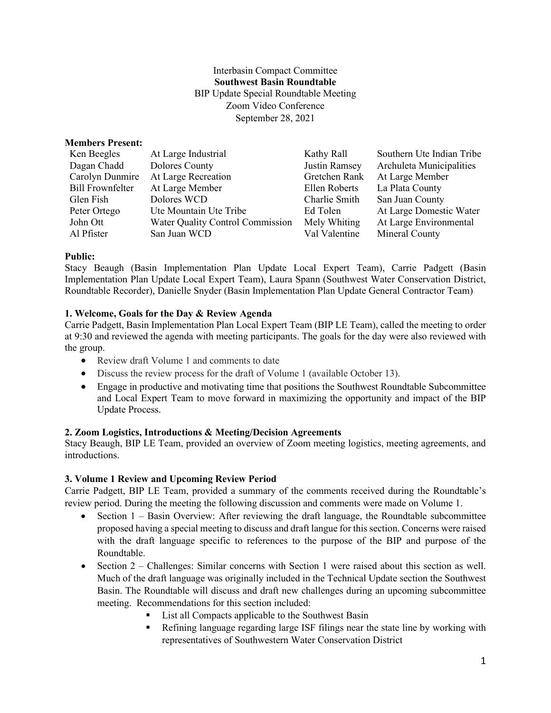Interbasin Compact Committee **Southwest Basin Roundtable** BIP Update Special Roundtable Meeting Zoom Video Conference September 28, 2021

### **Members Present:**

| Ken Beegles             | At Large Industrial                     | Kathy Rall    | Southern Ute Indian Tribe |
|-------------------------|-----------------------------------------|---------------|---------------------------|
| Dagan Chadd             | Dolores County                          | Justin Ramsey | Archuleta Municipalities  |
| Carolyn Dunmire         | At Large Recreation                     | Gretchen Rank | At Large Member           |
| <b>Bill Frownfelter</b> | At Large Member                         | Ellen Roberts | La Plata County           |
| Glen Fish               | Dolores WCD                             | Charlie Smith | San Juan County           |
| Peter Ortego            | Ute Mountain Ute Tribe                  | Ed Tolen      | At Large Domestic Water   |
| John Ott                | <b>Water Quality Control Commission</b> | Mely Whiting  | At Large Environmental    |
| Al Pfister              | San Juan WCD                            | Val Valentine | Mineral County            |

### **Public:**

Stacy Beaugh (Basin Implementation Plan Update Local Expert Team), Carrie Padgett (Basin Implementation Plan Update Local Expert Team), Laura Spann (Southwest Water Conservation District, Roundtable Recorder), Danielle Snyder (Basin Implementation Plan Update General Contractor Team)

# **1. Welcome, Goals for the Day & Review Agenda**

Carrie Padgett, Basin Implementation Plan Local Expert Team (BIP LE Team), called the meeting to order at 9:30 and reviewed the agenda with meeting participants. The goals for the day were also reviewed with the group.

- Review draft Volume 1 and comments to date
- Discuss the review process for the draft of Volume 1 (available October 13).
- Engage in productive and motivating time that positions the Southwest Roundtable Subcommittee and Local Expert Team to move forward in maximizing the opportunity and impact of the BIP Update Process.

# **2. Zoom Logistics, Introductions & Meeting/Decision Agreements**

Stacy Beaugh, BIP LE Team, provided an overview of Zoom meeting logistics, meeting agreements, and introductions.

# **3. Volume 1 Review and Upcoming Review Period**

Carrie Padgett, BIP LE Team, provided a summary of the comments received during the Roundtable's review period. During the meeting the following discussion and comments were made on Volume 1.

- Section  $1 -$  Basin Overview: After reviewing the draft language, the Roundtable subcommittee proposed having a special meeting to discuss and draft langue for this section. Concerns were raised with the draft language specific to references to the purpose of the BIP and purpose of the Roundtable.
- Section 2 Challenges: Similar concerns with Section 1 were raised about this section as well. Much of the draft language was originally included in the Technical Update section the Southwest Basin. The Roundtable will discuss and draft new challenges during an upcoming subcommittee meeting. Recommendations for this section included:
	- List all Compacts applicable to the Southwest Basin
	- Refining language regarding large ISF filings near the state line by working with representatives of Southwestern Water Conservation District